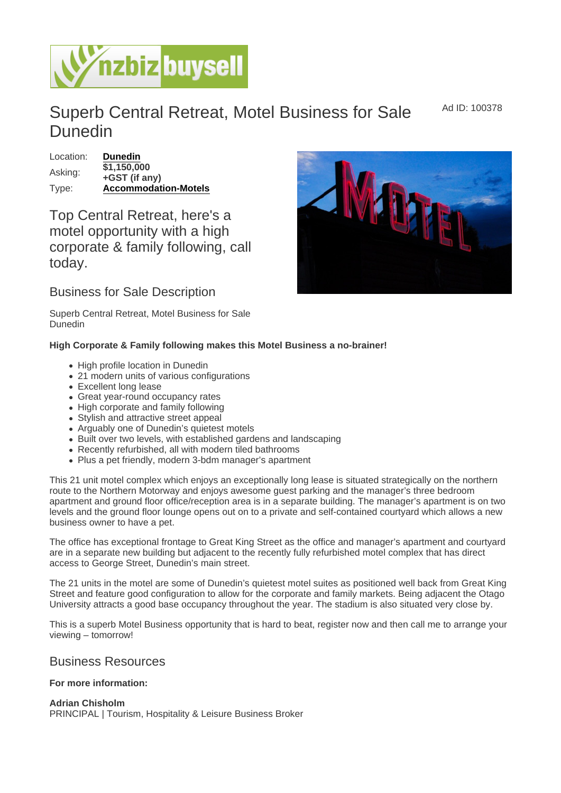Ad ID: 100378

## Superb Central Retreat, Motel Business for Sale Dunedin

Location: [Dunedin](https://www.nzbizbuysell.co.nz/businesses-for-sale/location/Dunedin)  $\overline{$1,150,000}$ <br>Asking:  $\overline{$1,150,000}$ +GST (if any) Type: [Accommodation-Motels](https://www.nzbizbuysell.co.nz/businesses-for-sale/Motels/New-Zealand)

Top Central Retreat, here's a motel opportunity with a high corporate & family following, call today.

## Business for Sale Description

Superb Central Retreat, Motel Business for Sale Dunedin

High Corporate & Family following makes this Motel Business a no-brainer!

- High profile location in Dunedin
- 21 modern units of various configurations
- Excellent long lease
- Great year-round occupancy rates
- High corporate and family following
- Stylish and attractive street appeal
- Arguably one of Dunedin's quietest motels
- Built over two levels, with established gardens and landscaping
- Recently refurbished, all with modern tiled bathrooms
- Plus a pet friendly, modern 3-bdm manager's apartment

This 21 unit motel complex which enjoys an exceptionally long lease is situated strategically on the northern route to the Northern Motorway and enjoys awesome guest parking and the manager's three bedroom apartment and ground floor office/reception area is in a separate building. The manager's apartment is on two levels and the ground floor lounge opens out on to a private and self-contained courtyard which allows a new business owner to have a pet.

The office has exceptional frontage to Great King Street as the office and manager's apartment and courtyard are in a separate new building but adjacent to the recently fully refurbished motel complex that has direct access to George Street, Dunedin's main street.

The 21 units in the motel are some of Dunedin's quietest motel suites as positioned well back from Great King Street and feature good configuration to allow for the corporate and family markets. Being adjacent the Otago University attracts a good base occupancy throughout the year. The stadium is also situated very close by.

This is a superb Motel Business opportunity that is hard to beat, register now and then call me to arrange your viewing – tomorrow!

## Business Resources

For more information:

Adrian Chisholm PRINCIPAL | Tourism, Hospitality & Leisure Business Broker